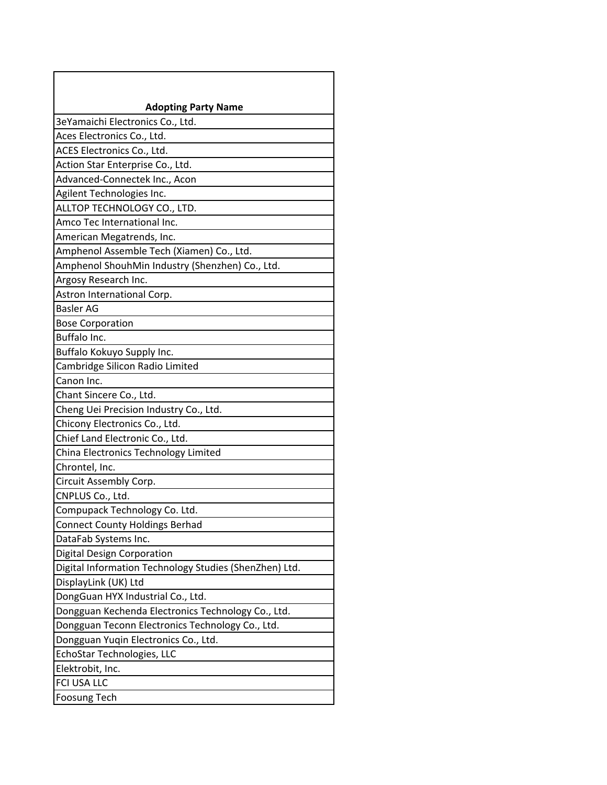| <b>Adopting Party Name</b>                             |
|--------------------------------------------------------|
| 3eYamaichi Electronics Co., Ltd.                       |
| Aces Electronics Co., Ltd.                             |
| ACES Electronics Co., Ltd.                             |
| Action Star Enterprise Co., Ltd.                       |
| Advanced-Connectek Inc., Acon                          |
| Agilent Technologies Inc.                              |
| ALLTOP TECHNOLOGY CO., LTD.                            |
| Amco Tec International Inc.                            |
| American Megatrends, Inc.                              |
| Amphenol Assemble Tech (Xiamen) Co., Ltd.              |
| Amphenol ShouhMin Industry (Shenzhen) Co., Ltd.        |
| Argosy Research Inc.                                   |
| Astron International Corp.                             |
| <b>Basler AG</b>                                       |
| <b>Bose Corporation</b>                                |
| Buffalo Inc.                                           |
| Buffalo Kokuyo Supply Inc.                             |
| Cambridge Silicon Radio Limited                        |
| Canon Inc.                                             |
| Chant Sincere Co., Ltd.                                |
| Cheng Uei Precision Industry Co., Ltd.                 |
| Chicony Electronics Co., Ltd.                          |
| Chief Land Electronic Co., Ltd.                        |
| China Electronics Technology Limited                   |
| Chrontel, Inc.                                         |
| Circuit Assembly Corp.                                 |
| CNPLUS Co., Ltd.                                       |
| Compupack Technology Co. Ltd.                          |
| <b>Connect County Holdings Berhad</b>                  |
| DataFab Systems Inc.                                   |
| <b>Digital Design Corporation</b>                      |
| Digital Information Technology Studies (ShenZhen) Ltd. |
| DisplayLink (UK) Ltd                                   |
| DongGuan HYX Industrial Co., Ltd.                      |
| Dongguan Kechenda Electronics Technology Co., Ltd.     |
| Dongguan Teconn Electronics Technology Co., Ltd.       |
| Dongguan Yuqin Electronics Co., Ltd.                   |
| EchoStar Technologies, LLC                             |
| Elektrobit, Inc.                                       |
| FCI USA LLC                                            |
| <b>Foosung Tech</b>                                    |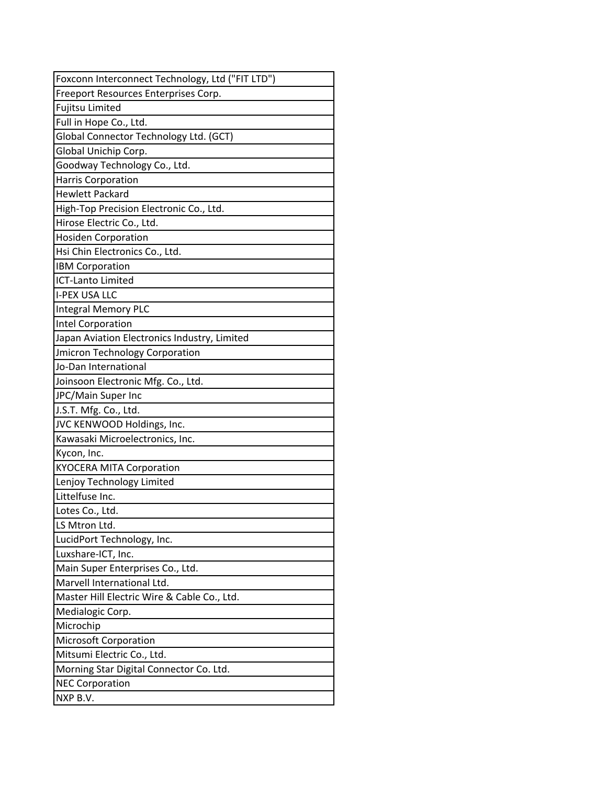| Foxconn Interconnect Technology, Ltd ("FIT LTD") |
|--------------------------------------------------|
| Freeport Resources Enterprises Corp.             |
| Fujitsu Limited                                  |
| Full in Hope Co., Ltd.                           |
| Global Connector Technology Ltd. (GCT)           |
| Global Unichip Corp.                             |
| Goodway Technology Co., Ltd.                     |
| Harris Corporation                               |
| <b>Hewlett Packard</b>                           |
| High-Top Precision Electronic Co., Ltd.          |
| Hirose Electric Co., Ltd.                        |
| <b>Hosiden Corporation</b>                       |
| Hsi Chin Electronics Co., Ltd.                   |
| <b>IBM Corporation</b>                           |
| <b>ICT-Lanto Limited</b>                         |
| <b>I-PEX USA LLC</b>                             |
| Integral Memory PLC                              |
| Intel Corporation                                |
| Japan Aviation Electronics Industry, Limited     |
| <b>Jmicron Technology Corporation</b>            |
| Jo-Dan International                             |
| Joinsoon Electronic Mfg. Co., Ltd.               |
| JPC/Main Super Inc                               |
| J.S.T. Mfg. Co., Ltd.                            |
| JVC KENWOOD Holdings, Inc.                       |
| Kawasaki Microelectronics, Inc.                  |
| Kycon, Inc.                                      |
| <b>KYOCERA MITA Corporation</b>                  |
| Lenjoy Technology Limited                        |
| Littelfuse Inc.                                  |
| Lotes Co., Ltd.                                  |
| LS Mtron Ltd.                                    |
| LucidPort Technology, Inc.                       |
| Luxshare-ICT, Inc.                               |
| Main Super Enterprises Co., Ltd.                 |
| Marvell International Ltd.                       |
| Master Hill Electric Wire & Cable Co., Ltd.      |
| Medialogic Corp.                                 |
| Microchip                                        |
| <b>Microsoft Corporation</b>                     |
| Mitsumi Electric Co., Ltd.                       |
| Morning Star Digital Connector Co. Ltd.          |
| <b>NEC Corporation</b>                           |
| NXP B.V.                                         |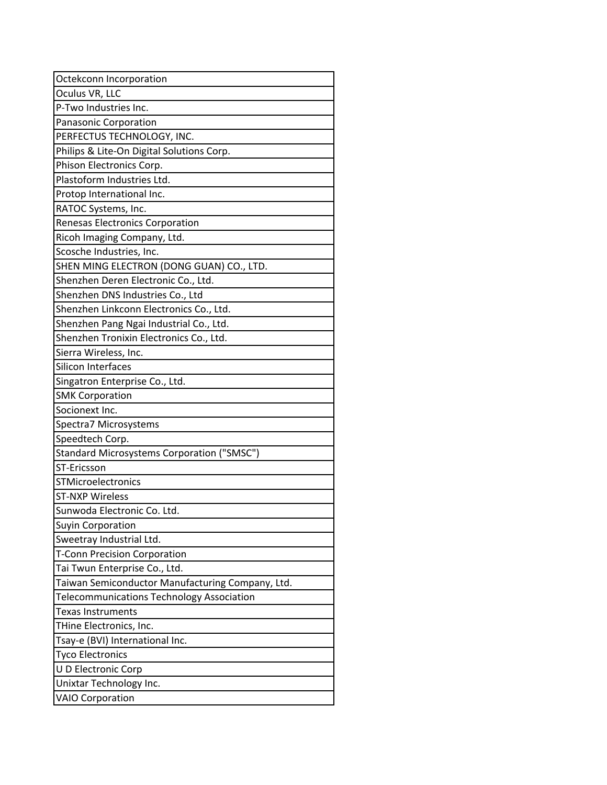| Octekconn Incorporation                          |
|--------------------------------------------------|
| Oculus VR, LLC                                   |
| P-Two Industries Inc.                            |
| Panasonic Corporation                            |
| PERFECTUS TECHNOLOGY, INC.                       |
| Philips & Lite-On Digital Solutions Corp.        |
| Phison Electronics Corp.                         |
| Plastoform Industries Ltd.                       |
| Protop International Inc.                        |
| RATOC Systems, Inc.                              |
| <b>Renesas Electronics Corporation</b>           |
| Ricoh Imaging Company, Ltd.                      |
| Scosche Industries, Inc.                         |
| SHEN MING ELECTRON (DONG GUAN) CO., LTD.         |
| Shenzhen Deren Electronic Co., Ltd.              |
| Shenzhen DNS Industries Co., Ltd                 |
| Shenzhen Linkconn Electronics Co., Ltd.          |
| Shenzhen Pang Ngai Industrial Co., Ltd.          |
| Shenzhen Tronixin Electronics Co., Ltd.          |
| Sierra Wireless, Inc.                            |
| Silicon Interfaces                               |
| Singatron Enterprise Co., Ltd.                   |
| <b>SMK Corporation</b>                           |
| Socionext Inc.                                   |
| Spectra7 Microsystems                            |
| Speedtech Corp.                                  |
| Standard Microsystems Corporation ("SMSC")       |
| ST-Ericsson                                      |
| <b>STMicroelectronics</b>                        |
| <b>ST-NXP Wireless</b>                           |
| Sunwoda Electronic Co. Ltd.                      |
| <b>Suyin Corporation</b>                         |
| Sweetray Industrial Ltd.                         |
| <b>T-Conn Precision Corporation</b>              |
| Tai Twun Enterprise Co., Ltd.                    |
| Taiwan Semiconductor Manufacturing Company, Ltd. |
| Telecommunications Technology Association        |
| Texas Instruments                                |
| THine Electronics, Inc.                          |
| Tsay-e (BVI) International Inc.                  |
| <b>Tyco Electronics</b>                          |
| U D Electronic Corp                              |
| Unixtar Technology Inc.                          |
| <b>VAIO Corporation</b>                          |